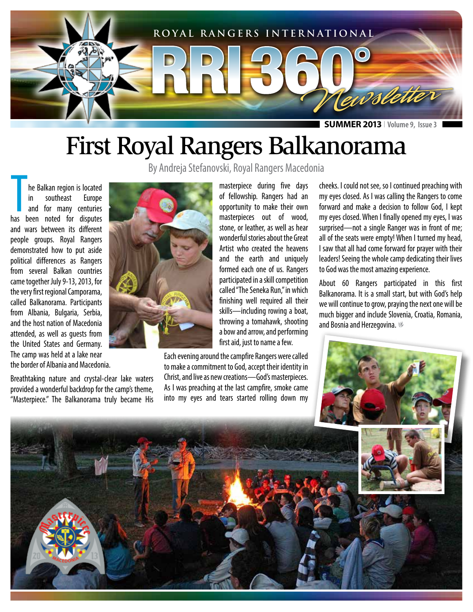

**SUMMER 2013** I **Volume 9, Issue 3**

## First Royal Rangers Balkanorama

By Andreja Stefanovski, Royal Rangers Macedonia

**The Balkan region is located<br>
in southeast Europe<br>
and for many centuries<br>
has been noted for disputes** he Balkan region is located in southeast Europe and for many centuries and wars between its different people groups. Royal Rangers demonstrated how to put aside political differences as Rangers from several Balkan countries came together July 9-13, 2013, for the very first regional Camporama, called Balkanorama. Participants from Albania, Bulgaria, Serbia, and the host nation of Macedonia attended, as well as guests from the United States and Germany. The camp was held at a lake near the border of Albania and Macedonia.

Breathtaking nature and crystal-clear lake waters provided a wonderful backdrop for the camp's theme, "Masterpiece." The Balkanorama truly became His



masterpiece during five days of fellowship. Rangers had an opportunity to make their own masterpieces out of wood, stone, or leather, as well as hear wonderful stories about the Great Artist who created the heavens and the earth and uniquely formed each one of us. Rangers participated in a skill competition called "The Seneka Run," in which finishing well required all their skills—including rowing a boat, throwing a tomahawk, shooting a bow and arrow, and performing first aid, just to name a few.

Each evening around the campfire Rangers were called to make a commitment to God, accept their identity in Christ, and live as new creations—God's masterpieces. As I was preaching at the last campfire, smoke came into my eyes and tears started rolling down my

cheeks. I could not see, so I continued preaching with my eyes closed. As I was calling the Rangers to come forward and make a decision to follow God, I kept my eyes closed. When I finally opened my eyes, I was surprised—not a single Ranger was in front of me; all of the seats were empty! When I turned my head, I saw that all had come forward for prayer with their leaders! Seeing the whole camp dedicating their lives to God was the most amazing experience.

About 60 Rangers participated in this first Balkanorama. It is a small start, but with God's help we will continue to grow, praying the next one will be much bigger and include Slovenia, Croatia, Romania, and Bosnia and Herzegovina.



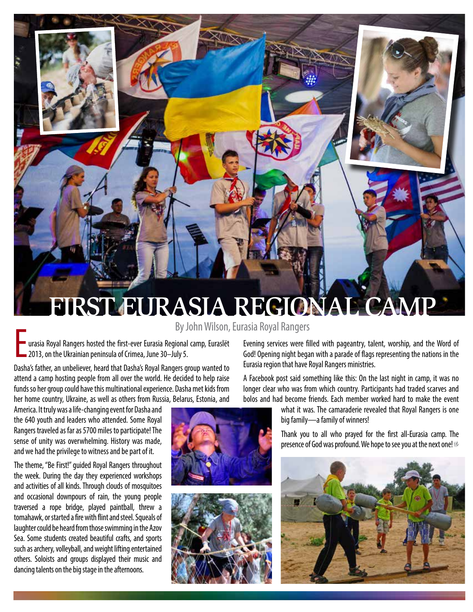## FIRST EURASIA REGIONAL CAMP

By John Wilson, Eurasia Royal Rangers

" urasia Royal Rangers hosted the first-ever Eurasia Regional camp, Euraslët 2013, on the Ukrainian peninsula of Crimea, June 30–July 5.

Dasha's father, an unbeliever, heard that Dasha's Royal Rangers group wanted to attend a camp hosting people from all over the world. He decided to help raise funds so her group could have this multinational experience. Dasha met kids from her home country, Ukraine, as well as others from Russia, Belarus, Estonia, and

America. It truly was a life-changing event for Dasha and the 640 youth and leaders who attended. Some Royal Rangers traveled as far as 5700 miles to participate! The sense of unity was overwhelming. History was made, and we had the privilege to witness and be part of it.

The theme, "Be First!" guided Royal Rangers throughout the week. During the day they experienced workshops and activities of all kinds. Through clouds of mosquitoes and occasional downpours of rain, the young people traversed a rope bridge, played paintball, threw a tomahawk, or started a fire with flint and steel. Squeals of laughter could be heard from those swimming in the Azov Sea. Some students created beautiful crafts, and sports such as archery, volleyball, and weight lifting entertained others. Soloists and groups displayed their music and dancing talents on the big stage in the afternoons.

Evening services were filled with pageantry, talent, worship, and the Word of God! Opening night began with a parade of flags representing the nations in the Eurasia region that have Royal Rangers ministries.

A Facebook post said something like this: On the last night in camp, it was no longer clear who was from which country. Participants had traded scarves and bolos and had become friends. Each member worked hard to make the event

> what it was. The camaraderie revealed that Royal Rangers is one big family—a family of winners!

> Thank you to all who prayed for the first all-Eurasia camp. The presence of God was profound. We hope to see you at the next one!



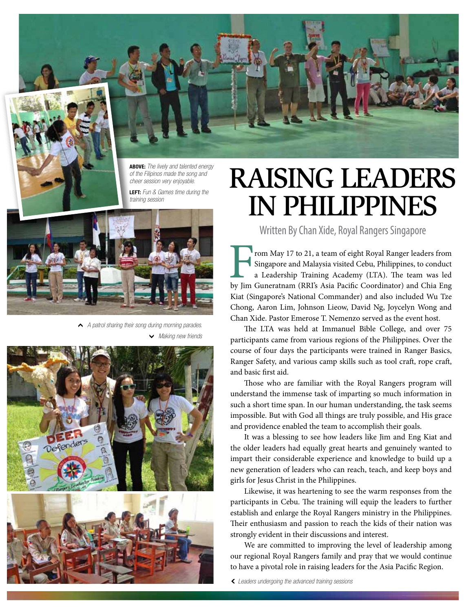

**ABOVE:** *The lively and talented energy of the Filipinos made the song and cheer session very enjoyable.* 

**LEFT:** *Fun & Games time during the training session*



1*A patrol sharing their song during morning parades.* 

S*Making new friends*



## RAISING LEADERS IN PHILIPPINES

Written By Chan Xide, Royal Rangers Singapore

From May 17 to 21, a team of eight Royal Ranger leaders from Singapore and Malaysia visited Cebu, Philippines, to conduct a Leadership Training Academy (LTA). The team was led by Jim Guneratnam (RRI's Asia Pacific Coordina Singapore and Malaysia visited Cebu, Philippines, to conduct a Leadership Training Academy (LTA). The team was led by Jim Guneratnam (RRI's Asia Pacific Coordinator) and Chia Eng Kiat (Singapore's National Commander) and also included Wu Tze Chong, Aaron Lim, Johnson Lieow, David Ng, Joycelyn Wong and Chan Xide. Pastor Emerose T. Nemenzo served as the event host.

The LTA was held at Immanuel Bible College, and over 75 participants came from various regions of the Philippines. Over the course of four days the participants were trained in Ranger Basics, Ranger Safety, and various camp skills such as tool craft, rope craft, and basic first aid.

Those who are familiar with the Royal Rangers program will understand the immense task of imparting so much information in such a short time span. In our human understanding, the task seems impossible. But with God all things are truly possible, and His grace and providence enabled the team to accomplish their goals.

It was a blessing to see how leaders like Jim and Eng Kiat and the older leaders had equally great hearts and genuinely wanted to impart their considerable experience and knowledge to build up a new generation of leaders who can reach, teach, and keep boys and girls for Jesus Christ in the Philippines.

Likewise, it was heartening to see the warm responses from the participants in Cebu. The training will equip the leaders to further establish and enlarge the Royal Rangers ministry in the Philippines. Their enthusiasm and passion to reach the kids of their nation was strongly evident in their discussions and interest.

We are committed to improving the level of leadership among our regional Royal Rangers family and pray that we would continue to have a pivotal role in raising leaders for the Asia Pacific Region.

2*Leaders undergoing the advanced training sessions*